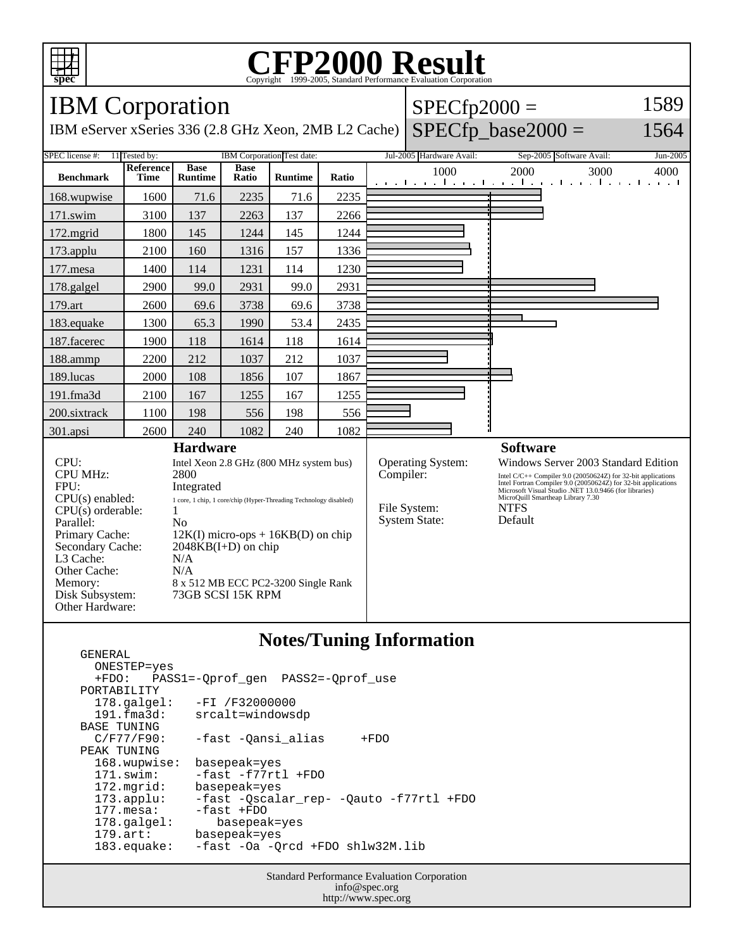

## **CFP2000 Result** Copyright  $\odot$  1999-2005, Standard I

IBM Corporation IBM eServer xSeries 336 (2.8 GHz Xeon, 2MB L2 Cache)  $SPECfp2000 =$  $SPECfp\_base2000 =$ 1589 1564 SPEC license #: 11 Tested by: IBM Corporation Test date: Jul-2005 Hardware Avail: Sep-2005 Software Avail: Jun-2005 **Benchmark Reference Time Base Runtime Base Runtime Ratio** 1000 2000 3000 4000 168.wupwise 1600 71.6 2235 71.6 2235 171.swim | 3100 | 137 | 2263 | 137 | 2266 172.mgrid | 1800 | 145 | 1244 | 145 | 1244 173.applu | 2100 | 160 | 1316 | 157 | 1336 177.mesa | 1400 | 114 | 1231 | 114 | 1230 178.galgel | 2900 | 99.0 | 2931 | 99.0 | 2931 179.art | 2600 69.6 3738 69.6 3738 183.equake 1300 65.3 1990 53.4 2435 187.facerec | 1900 | 118 | 1614 | 118 | 1614 188.ammp | 2200 | 212 | 1037 | 212 | 1037 189.lucas | 2000 | 108 | 1856 | 107 | 1867 191.fma3d 2100 167 1255 167 1255 200.sixtrack | 1100 | 198 | 556 | 198 | 556 301.apsi 2600 240 1082 240 1082 **Hardware** CPU: Intel Xeon 2.8 GHz (800 MHz system bus) CPU MHz: 2800 FPU: Integrated CPU(s) enabled: 1 core, 1 chip, 1 core/chip (Hyper-Threading Technology disabled)  $CPU(s)$  orderable:  $1$ Parallel: No Primary Cache: 12K(I) micro-ops + 16KB(D) on chip Secondary Cache: 2048KB(I+D) on chip L3 Cache: N/A Other Cache: N/A Memory: 8 x 512 MB ECC PC2-3200 Single Rank Disk Subsystem: 73GB SCSI 15K RPM Other Hardware: **Software** Operating System: Windows Server 2003 Standard Edition<br>
Compiler: Intel C/C++ Compiler 9.0 (20050624Z) for 32-bit applications Intel C/C++ Compiler 9.0 (20050624Z) for 32-bit applications Intel Fortran Compiler 9.0 (20050624Z) for 32-bit applications Microsoft Visual Studio .NET 13.0.9466 (for libraries) MicroQuill Smartheap Library 7.30 File System: NTFS<br>System State: Default System State:

## **Notes/Tuning Information**

 GENERAL ONESTEP=yes +FDO: PASS1=-Qprof\_gen PASS2=-Qprof\_use PORTABILITY<br>178.galgel: -FI /F32000000 191.fma3d: srcalt=windowsdp BASE TUNING<br>C/F77/F90: -fast -Qansi\_alias +FDO PEAK TUNING 168.wupwise: basepeak=yes 171.swim: -fast -f77rtl +FDO 172.mgrid: basepeak=yes<br>173.applu: -fast -Qscala 173.applu: -fast -Qscalar\_rep- -Qauto -f77rtl +FDO -fast +FDO 178.galgel: basepeak=yes 179.art: basepeak=yes 183.equake: -fast -Oa -Qrcd +FDO shlw32M.lib

> Standard Performance Evaluation Corporation info@spec.org http://www.spec.org